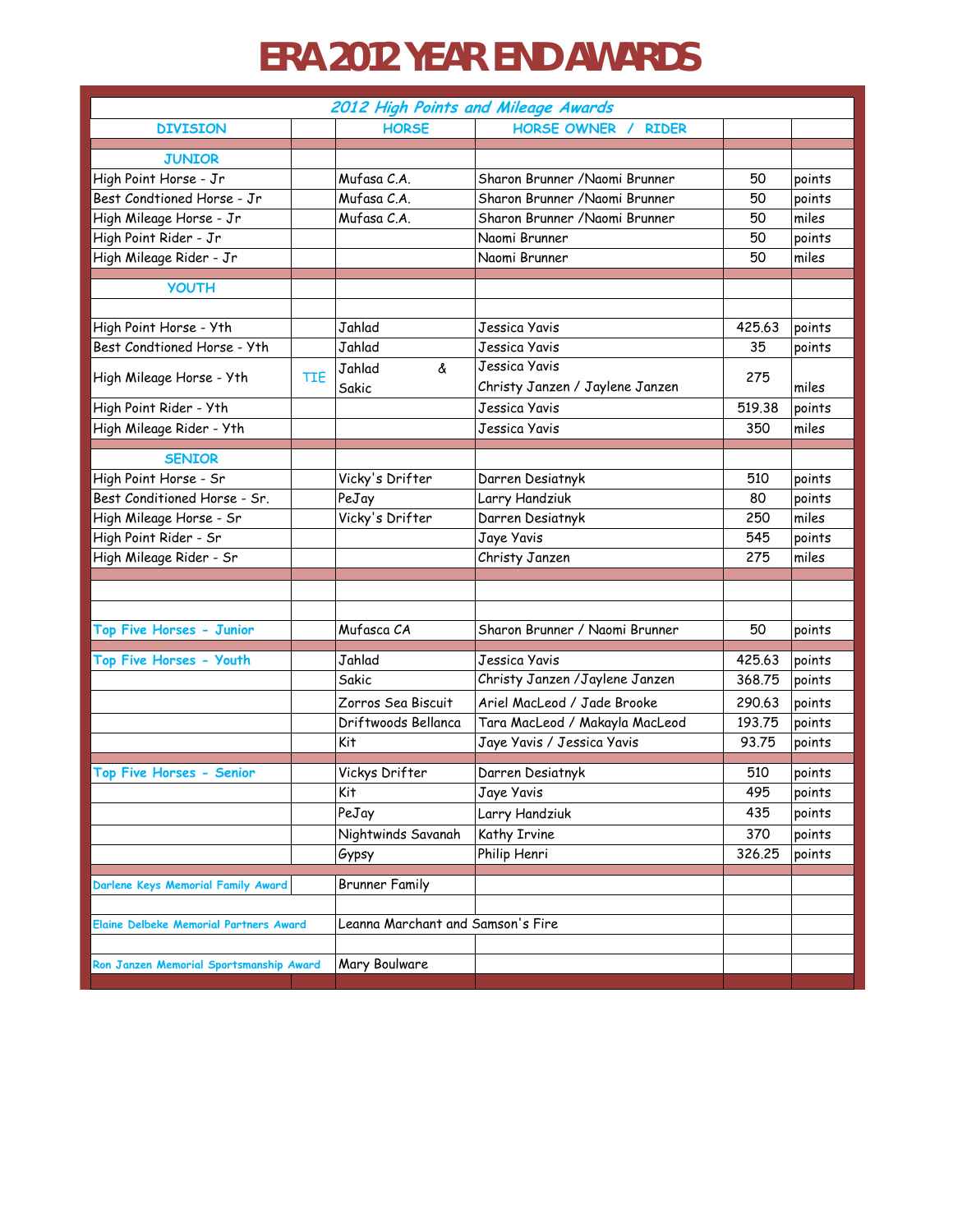## **ERA 2012 YEAR END AWARDS**

| HORSE OWNER /<br><b>HORSE</b><br><b>RIDER</b><br><b>DIVISION</b><br><b>JUNIOR</b><br>High Point Horse - Jr<br>Mufasa C.A.<br>Sharon Brunner / Naomi Brunner<br>50<br>Mufasa C.A.<br>Best Condtioned Horse - Jr<br>Sharon Brunner / Naomi Brunner<br>50<br>Mufasa C.A.<br>High Mileage Horse - Jr<br>Sharon Brunner / Naomi Brunner<br>50<br>High Point Rider - Jr<br>Naomi Brunner<br>50<br>High Mileage Rider - Jr<br>Naomi Brunner<br>50<br><b>YOUTH</b><br>High Point Horse - Yth<br>Jahlad<br>Jessica Yavis<br>425.63<br>points<br>Best Condtioned Horse - Yth<br>Jahlad<br>Jessica Yavis<br>35<br>Jessica Yavis<br>Jahlad<br>&<br>High Mileage Horse - Yth<br>TIE<br>275<br>Christy Janzen / Jaylene Janzen<br>Sakic<br>High Point Rider - Yth<br>519.38<br>Jessica Yavis<br>High Mileage Rider - Yth<br>Jessica Yavis<br>350<br><b>SENIOR</b><br>High Point Horse - Sr<br>Vicky's Drifter<br>510<br>Darren Desiatnyk<br>points<br>Best Conditioned Horse - Sr.<br>Larry Handziuk<br>PeJay<br>80<br>points<br>Vicky's Drifter<br>High Mileage Horse - Sr<br>Darren Desiatnyk<br>miles<br>250<br>High Point Rider - Sr<br>Jaye Yavis<br>545<br>points<br>High Mileage Rider - Sr<br>Christy Janzen<br>275<br>miles<br>Top Five Horses - Junior<br>Mufasca CA<br>Sharon Brunner / Naomi Brunner<br>50<br>Jahlad<br>Top Five Horses - Youth<br>425.63<br>Jessica Yavis<br>Sakic<br>Christy Janzen /Jaylene Janzen<br>368.75<br>Zorros Sea Biscuit<br>Ariel MacLeod / Jade Brooke<br>290.63<br>points<br>Driftwoods Bellanca<br>Tara MacLeod / Makayla MacLeod<br>193.75<br>Kit<br>Jaye Yavis / Jessica Yavis<br>93.75 | 2012 High Points and Mileage Awards |  |  |  |        |  |  |  |
|-------------------------------------------------------------------------------------------------------------------------------------------------------------------------------------------------------------------------------------------------------------------------------------------------------------------------------------------------------------------------------------------------------------------------------------------------------------------------------------------------------------------------------------------------------------------------------------------------------------------------------------------------------------------------------------------------------------------------------------------------------------------------------------------------------------------------------------------------------------------------------------------------------------------------------------------------------------------------------------------------------------------------------------------------------------------------------------------------------------------------------------------------------------------------------------------------------------------------------------------------------------------------------------------------------------------------------------------------------------------------------------------------------------------------------------------------------------------------------------------------------------------------------------------------------------------------------------------------------------------------|-------------------------------------|--|--|--|--------|--|--|--|
|                                                                                                                                                                                                                                                                                                                                                                                                                                                                                                                                                                                                                                                                                                                                                                                                                                                                                                                                                                                                                                                                                                                                                                                                                                                                                                                                                                                                                                                                                                                                                                                                                         |                                     |  |  |  |        |  |  |  |
|                                                                                                                                                                                                                                                                                                                                                                                                                                                                                                                                                                                                                                                                                                                                                                                                                                                                                                                                                                                                                                                                                                                                                                                                                                                                                                                                                                                                                                                                                                                                                                                                                         |                                     |  |  |  |        |  |  |  |
|                                                                                                                                                                                                                                                                                                                                                                                                                                                                                                                                                                                                                                                                                                                                                                                                                                                                                                                                                                                                                                                                                                                                                                                                                                                                                                                                                                                                                                                                                                                                                                                                                         |                                     |  |  |  | points |  |  |  |
|                                                                                                                                                                                                                                                                                                                                                                                                                                                                                                                                                                                                                                                                                                                                                                                                                                                                                                                                                                                                                                                                                                                                                                                                                                                                                                                                                                                                                                                                                                                                                                                                                         |                                     |  |  |  | points |  |  |  |
|                                                                                                                                                                                                                                                                                                                                                                                                                                                                                                                                                                                                                                                                                                                                                                                                                                                                                                                                                                                                                                                                                                                                                                                                                                                                                                                                                                                                                                                                                                                                                                                                                         |                                     |  |  |  | miles  |  |  |  |
|                                                                                                                                                                                                                                                                                                                                                                                                                                                                                                                                                                                                                                                                                                                                                                                                                                                                                                                                                                                                                                                                                                                                                                                                                                                                                                                                                                                                                                                                                                                                                                                                                         |                                     |  |  |  | points |  |  |  |
|                                                                                                                                                                                                                                                                                                                                                                                                                                                                                                                                                                                                                                                                                                                                                                                                                                                                                                                                                                                                                                                                                                                                                                                                                                                                                                                                                                                                                                                                                                                                                                                                                         |                                     |  |  |  | miles  |  |  |  |
|                                                                                                                                                                                                                                                                                                                                                                                                                                                                                                                                                                                                                                                                                                                                                                                                                                                                                                                                                                                                                                                                                                                                                                                                                                                                                                                                                                                                                                                                                                                                                                                                                         |                                     |  |  |  |        |  |  |  |
|                                                                                                                                                                                                                                                                                                                                                                                                                                                                                                                                                                                                                                                                                                                                                                                                                                                                                                                                                                                                                                                                                                                                                                                                                                                                                                                                                                                                                                                                                                                                                                                                                         |                                     |  |  |  |        |  |  |  |
|                                                                                                                                                                                                                                                                                                                                                                                                                                                                                                                                                                                                                                                                                                                                                                                                                                                                                                                                                                                                                                                                                                                                                                                                                                                                                                                                                                                                                                                                                                                                                                                                                         |                                     |  |  |  |        |  |  |  |
|                                                                                                                                                                                                                                                                                                                                                                                                                                                                                                                                                                                                                                                                                                                                                                                                                                                                                                                                                                                                                                                                                                                                                                                                                                                                                                                                                                                                                                                                                                                                                                                                                         |                                     |  |  |  | points |  |  |  |
|                                                                                                                                                                                                                                                                                                                                                                                                                                                                                                                                                                                                                                                                                                                                                                                                                                                                                                                                                                                                                                                                                                                                                                                                                                                                                                                                                                                                                                                                                                                                                                                                                         |                                     |  |  |  |        |  |  |  |
|                                                                                                                                                                                                                                                                                                                                                                                                                                                                                                                                                                                                                                                                                                                                                                                                                                                                                                                                                                                                                                                                                                                                                                                                                                                                                                                                                                                                                                                                                                                                                                                                                         |                                     |  |  |  | miles  |  |  |  |
|                                                                                                                                                                                                                                                                                                                                                                                                                                                                                                                                                                                                                                                                                                                                                                                                                                                                                                                                                                                                                                                                                                                                                                                                                                                                                                                                                                                                                                                                                                                                                                                                                         |                                     |  |  |  | points |  |  |  |
|                                                                                                                                                                                                                                                                                                                                                                                                                                                                                                                                                                                                                                                                                                                                                                                                                                                                                                                                                                                                                                                                                                                                                                                                                                                                                                                                                                                                                                                                                                                                                                                                                         |                                     |  |  |  | miles  |  |  |  |
|                                                                                                                                                                                                                                                                                                                                                                                                                                                                                                                                                                                                                                                                                                                                                                                                                                                                                                                                                                                                                                                                                                                                                                                                                                                                                                                                                                                                                                                                                                                                                                                                                         |                                     |  |  |  |        |  |  |  |
|                                                                                                                                                                                                                                                                                                                                                                                                                                                                                                                                                                                                                                                                                                                                                                                                                                                                                                                                                                                                                                                                                                                                                                                                                                                                                                                                                                                                                                                                                                                                                                                                                         |                                     |  |  |  |        |  |  |  |
|                                                                                                                                                                                                                                                                                                                                                                                                                                                                                                                                                                                                                                                                                                                                                                                                                                                                                                                                                                                                                                                                                                                                                                                                                                                                                                                                                                                                                                                                                                                                                                                                                         |                                     |  |  |  |        |  |  |  |
|                                                                                                                                                                                                                                                                                                                                                                                                                                                                                                                                                                                                                                                                                                                                                                                                                                                                                                                                                                                                                                                                                                                                                                                                                                                                                                                                                                                                                                                                                                                                                                                                                         |                                     |  |  |  |        |  |  |  |
|                                                                                                                                                                                                                                                                                                                                                                                                                                                                                                                                                                                                                                                                                                                                                                                                                                                                                                                                                                                                                                                                                                                                                                                                                                                                                                                                                                                                                                                                                                                                                                                                                         |                                     |  |  |  |        |  |  |  |
|                                                                                                                                                                                                                                                                                                                                                                                                                                                                                                                                                                                                                                                                                                                                                                                                                                                                                                                                                                                                                                                                                                                                                                                                                                                                                                                                                                                                                                                                                                                                                                                                                         |                                     |  |  |  |        |  |  |  |
|                                                                                                                                                                                                                                                                                                                                                                                                                                                                                                                                                                                                                                                                                                                                                                                                                                                                                                                                                                                                                                                                                                                                                                                                                                                                                                                                                                                                                                                                                                                                                                                                                         |                                     |  |  |  |        |  |  |  |
|                                                                                                                                                                                                                                                                                                                                                                                                                                                                                                                                                                                                                                                                                                                                                                                                                                                                                                                                                                                                                                                                                                                                                                                                                                                                                                                                                                                                                                                                                                                                                                                                                         |                                     |  |  |  |        |  |  |  |
|                                                                                                                                                                                                                                                                                                                                                                                                                                                                                                                                                                                                                                                                                                                                                                                                                                                                                                                                                                                                                                                                                                                                                                                                                                                                                                                                                                                                                                                                                                                                                                                                                         |                                     |  |  |  |        |  |  |  |
|                                                                                                                                                                                                                                                                                                                                                                                                                                                                                                                                                                                                                                                                                                                                                                                                                                                                                                                                                                                                                                                                                                                                                                                                                                                                                                                                                                                                                                                                                                                                                                                                                         |                                     |  |  |  | points |  |  |  |
|                                                                                                                                                                                                                                                                                                                                                                                                                                                                                                                                                                                                                                                                                                                                                                                                                                                                                                                                                                                                                                                                                                                                                                                                                                                                                                                                                                                                                                                                                                                                                                                                                         |                                     |  |  |  | points |  |  |  |
|                                                                                                                                                                                                                                                                                                                                                                                                                                                                                                                                                                                                                                                                                                                                                                                                                                                                                                                                                                                                                                                                                                                                                                                                                                                                                                                                                                                                                                                                                                                                                                                                                         |                                     |  |  |  | points |  |  |  |
|                                                                                                                                                                                                                                                                                                                                                                                                                                                                                                                                                                                                                                                                                                                                                                                                                                                                                                                                                                                                                                                                                                                                                                                                                                                                                                                                                                                                                                                                                                                                                                                                                         |                                     |  |  |  |        |  |  |  |
|                                                                                                                                                                                                                                                                                                                                                                                                                                                                                                                                                                                                                                                                                                                                                                                                                                                                                                                                                                                                                                                                                                                                                                                                                                                                                                                                                                                                                                                                                                                                                                                                                         |                                     |  |  |  | points |  |  |  |
|                                                                                                                                                                                                                                                                                                                                                                                                                                                                                                                                                                                                                                                                                                                                                                                                                                                                                                                                                                                                                                                                                                                                                                                                                                                                                                                                                                                                                                                                                                                                                                                                                         |                                     |  |  |  | points |  |  |  |
|                                                                                                                                                                                                                                                                                                                                                                                                                                                                                                                                                                                                                                                                                                                                                                                                                                                                                                                                                                                                                                                                                                                                                                                                                                                                                                                                                                                                                                                                                                                                                                                                                         |                                     |  |  |  |        |  |  |  |
| Vickys Drifter<br>Top Five Horses - Senior<br>Darren Desiatnyk<br>510                                                                                                                                                                                                                                                                                                                                                                                                                                                                                                                                                                                                                                                                                                                                                                                                                                                                                                                                                                                                                                                                                                                                                                                                                                                                                                                                                                                                                                                                                                                                                   |                                     |  |  |  | points |  |  |  |
| <b>Kit</b><br>$\overline{\mathrm{J}}$ aye Yavis<br>495                                                                                                                                                                                                                                                                                                                                                                                                                                                                                                                                                                                                                                                                                                                                                                                                                                                                                                                                                                                                                                                                                                                                                                                                                                                                                                                                                                                                                                                                                                                                                                  |                                     |  |  |  | points |  |  |  |
| Larry Handziuk<br>435<br>PeJay                                                                                                                                                                                                                                                                                                                                                                                                                                                                                                                                                                                                                                                                                                                                                                                                                                                                                                                                                                                                                                                                                                                                                                                                                                                                                                                                                                                                                                                                                                                                                                                          |                                     |  |  |  | points |  |  |  |
| Nightwinds Savanah<br>Kathy Irvine<br>370                                                                                                                                                                                                                                                                                                                                                                                                                                                                                                                                                                                                                                                                                                                                                                                                                                                                                                                                                                                                                                                                                                                                                                                                                                                                                                                                                                                                                                                                                                                                                                               |                                     |  |  |  | points |  |  |  |
| Philip Henri<br>326.25<br>Gypsy                                                                                                                                                                                                                                                                                                                                                                                                                                                                                                                                                                                                                                                                                                                                                                                                                                                                                                                                                                                                                                                                                                                                                                                                                                                                                                                                                                                                                                                                                                                                                                                         |                                     |  |  |  | points |  |  |  |
| <b>Brunner Family</b><br>Darlene Keys Memorial Family Award                                                                                                                                                                                                                                                                                                                                                                                                                                                                                                                                                                                                                                                                                                                                                                                                                                                                                                                                                                                                                                                                                                                                                                                                                                                                                                                                                                                                                                                                                                                                                             |                                     |  |  |  |        |  |  |  |
|                                                                                                                                                                                                                                                                                                                                                                                                                                                                                                                                                                                                                                                                                                                                                                                                                                                                                                                                                                                                                                                                                                                                                                                                                                                                                                                                                                                                                                                                                                                                                                                                                         |                                     |  |  |  |        |  |  |  |
| Leanna Marchant and Samson's Fire<br><b>Elaine Delbeke Memorial Partners Award</b>                                                                                                                                                                                                                                                                                                                                                                                                                                                                                                                                                                                                                                                                                                                                                                                                                                                                                                                                                                                                                                                                                                                                                                                                                                                                                                                                                                                                                                                                                                                                      |                                     |  |  |  |        |  |  |  |
|                                                                                                                                                                                                                                                                                                                                                                                                                                                                                                                                                                                                                                                                                                                                                                                                                                                                                                                                                                                                                                                                                                                                                                                                                                                                                                                                                                                                                                                                                                                                                                                                                         |                                     |  |  |  |        |  |  |  |
| Mary Boulware<br>Ron Janzen Memorial Sportsmanship Award                                                                                                                                                                                                                                                                                                                                                                                                                                                                                                                                                                                                                                                                                                                                                                                                                                                                                                                                                                                                                                                                                                                                                                                                                                                                                                                                                                                                                                                                                                                                                                |                                     |  |  |  |        |  |  |  |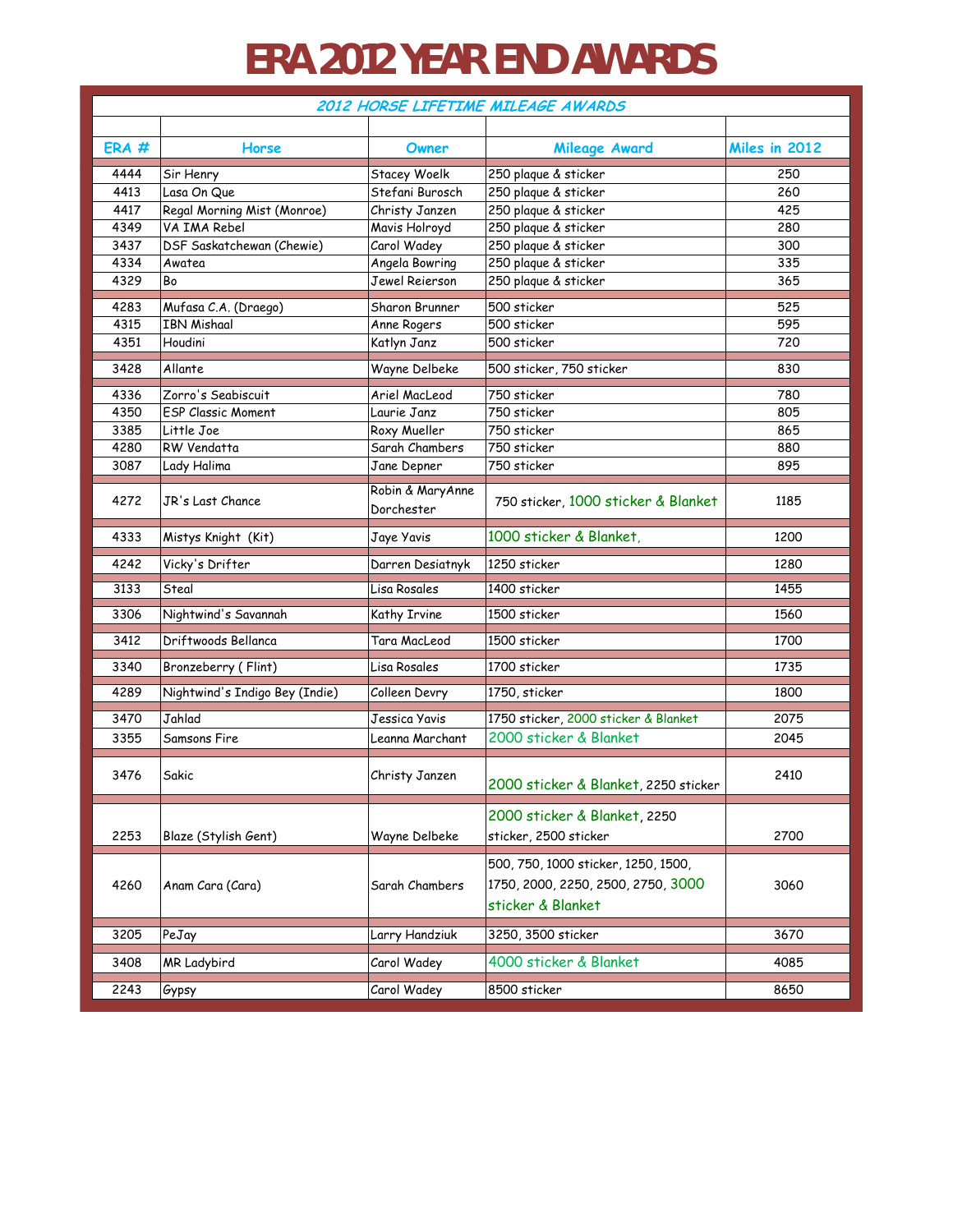## **ERA 2012 YEAR END AWARDS**

| 2012 HORSE LIFETIME MILEAGE AWARDS |                                |                                |                                                                                                |               |  |  |  |
|------------------------------------|--------------------------------|--------------------------------|------------------------------------------------------------------------------------------------|---------------|--|--|--|
|                                    |                                |                                |                                                                                                |               |  |  |  |
| ERA#                               | Horse                          | Owner                          | Mileage Award                                                                                  | Miles in 2012 |  |  |  |
| 4444                               | Sir Henry                      | Stacey Woelk                   | 250 plaque & sticker                                                                           | 250           |  |  |  |
| 4413                               | Lasa On Que                    | Stefani Burosch                | 250 plaque & sticker                                                                           | 260           |  |  |  |
| 4417                               | Regal Morning Mist (Monroe)    | Christy Janzen                 | 250 plaque & sticker                                                                           | 425           |  |  |  |
| 4349                               | VA IMA Rebel                   | Mavis Holroyd                  | 250 plaque & sticker                                                                           | 280           |  |  |  |
| 3437                               | DSF Saskatchewan (Chewie)      | Carol Wadey                    | 250 plaque & sticker                                                                           | 300           |  |  |  |
| 4334                               | Awatea                         | Angela Bowring                 | 250 plaque & sticker                                                                           | 335           |  |  |  |
| 4329                               | Bo                             | Jewel Reierson                 | 250 plaque & sticker                                                                           | 365           |  |  |  |
| 4283                               | Mufasa C.A. (Draego)           | Sharon Brunner                 | 500 sticker                                                                                    | 525           |  |  |  |
| 4315                               | <b>IBN Mishaal</b>             | Anne Rogers                    | 500 sticker                                                                                    | 595           |  |  |  |
| 4351                               | Houdini                        | Katlyn Janz                    | 500 sticker                                                                                    | 720           |  |  |  |
| 3428                               | Allante                        | Wayne Delbeke                  | 500 sticker, 750 sticker                                                                       | 830           |  |  |  |
| 4336                               | Zorro's Seabiscuit             | Ariel MacLeod                  | 750 sticker                                                                                    | 780           |  |  |  |
| 4350                               | <b>ESP Classic Moment</b>      | Laurie Janz                    | 750 sticker                                                                                    | 805           |  |  |  |
| 3385                               | Little Joe                     | Roxy Mueller                   | 750 sticker                                                                                    | 865           |  |  |  |
| 4280                               | RW Vendatta                    | Sarah Chambers                 | 750 sticker                                                                                    | 880           |  |  |  |
| 3087                               | Lady Halima                    | Jane Depner                    | 750 sticker                                                                                    | 895           |  |  |  |
| 4272                               | JR's Last Chance               | Robin & MaryAnne<br>Dorchester | 750 sticker, 1000 sticker & Blanket                                                            | 1185          |  |  |  |
| 4333                               | Mistys Knight (Kit)            | Jaye Yavis                     | 1000 sticker & Blanket,                                                                        | 1200          |  |  |  |
| 4242                               | Vicky's Drifter                | Darren Desiatnyk               | 1250 sticker                                                                                   | 1280          |  |  |  |
| 3133                               | Steal                          | Lisa Rosales                   | 1400 sticker                                                                                   | 1455          |  |  |  |
| 3306                               | Nightwind's Savannah           | Kathy Irvine                   | 1500 sticker                                                                                   | 1560          |  |  |  |
| 3412                               | Driftwoods Bellanca            | Tara MacLeod                   | 1500 sticker                                                                                   | 1700          |  |  |  |
| 3340                               | Bronzeberry (Flint)            | Lisa Rosales                   | 1700 sticker                                                                                   | 1735          |  |  |  |
| 4289                               | Nightwind's Indigo Bey (Indie) | Colleen Devry                  | 1750, sticker                                                                                  | 1800          |  |  |  |
| 3470                               | Jahlad                         | Jessica Yavis                  | 1750 sticker, 2000 sticker & Blanket                                                           | 2075          |  |  |  |
| 3355                               | Samsons Fire                   | Leanna Marchant                | 2000 sticker & Blanket                                                                         | 2045          |  |  |  |
| 3476                               | Sakic                          | Christy Janzen                 | 2000 sticker & Blanket, 2250 sticker                                                           | 2410          |  |  |  |
| 2253                               | Blaze (Stylish Gent)           | Wayne Delbeke                  | 2000 sticker & Blanket, 2250<br>sticker, 2500 sticker                                          | 2700          |  |  |  |
| 4260                               | Anam Cara (Cara)               | Sarah Chambers                 | 500, 750, 1000 sticker, 1250, 1500,<br>1750, 2000, 2250, 2500, 2750, 3000<br>sticker & Blanket | 3060          |  |  |  |
| 3205                               | PeJay                          | Larry Handziuk                 | 3250, 3500 sticker                                                                             | 3670          |  |  |  |
| 3408                               | MR Ladybird                    | Carol Wadey                    | 4000 sticker & Blanket                                                                         | 4085          |  |  |  |
| 2243                               | Gypsy                          | Carol Wadey                    | 8500 sticker                                                                                   | 8650          |  |  |  |